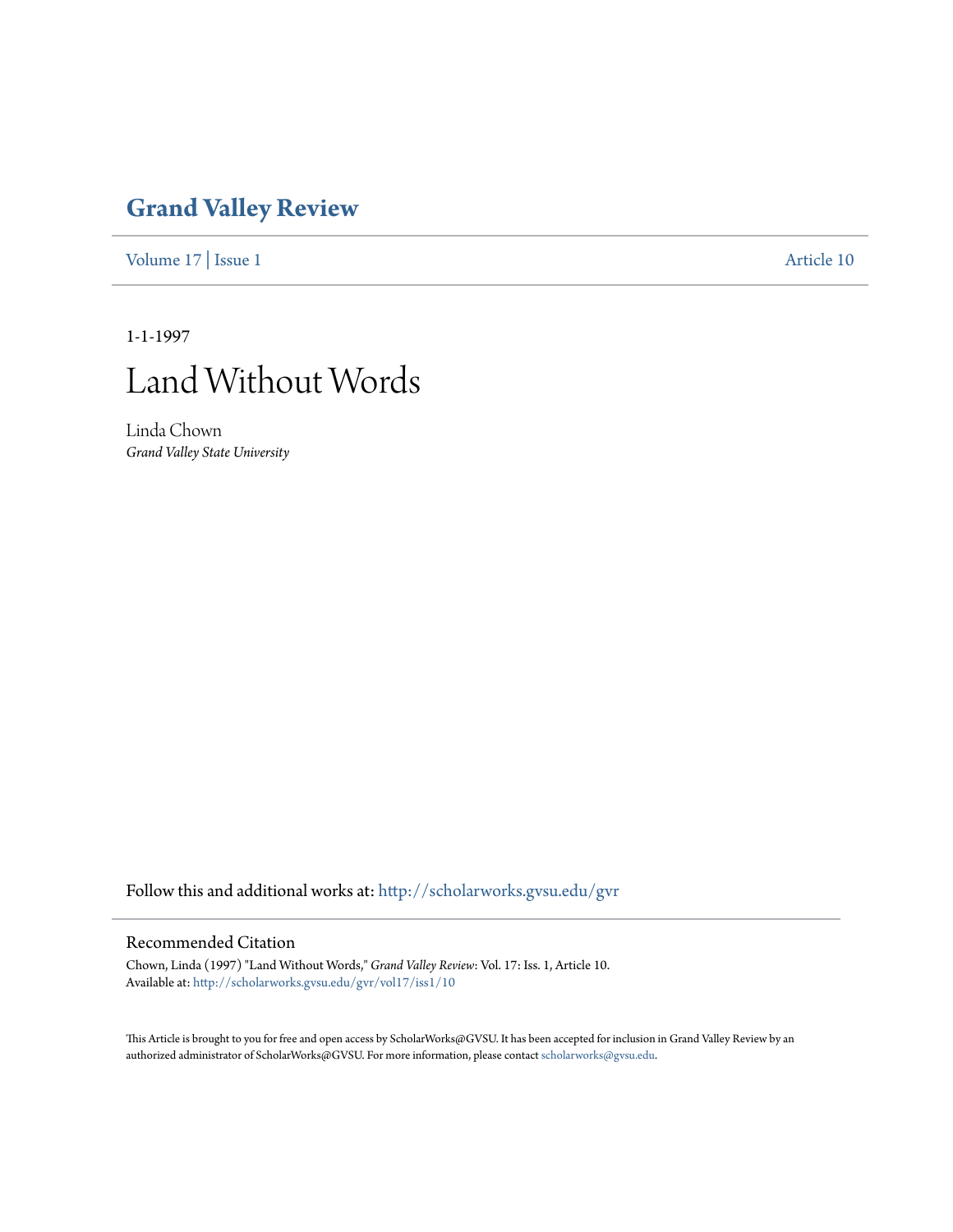## **[Grand Valley Review](http://scholarworks.gvsu.edu/gvr?utm_source=scholarworks.gvsu.edu%2Fgvr%2Fvol17%2Fiss1%2F10&utm_medium=PDF&utm_campaign=PDFCoverPages)**

[Volume 17](http://scholarworks.gvsu.edu/gvr/vol17?utm_source=scholarworks.gvsu.edu%2Fgvr%2Fvol17%2Fiss1%2F10&utm_medium=PDF&utm_campaign=PDFCoverPages) | [Issue 1](http://scholarworks.gvsu.edu/gvr/vol17/iss1?utm_source=scholarworks.gvsu.edu%2Fgvr%2Fvol17%2Fiss1%2F10&utm_medium=PDF&utm_campaign=PDFCoverPages) [Article 10](http://scholarworks.gvsu.edu/gvr/vol17/iss1/10?utm_source=scholarworks.gvsu.edu%2Fgvr%2Fvol17%2Fiss1%2F10&utm_medium=PDF&utm_campaign=PDFCoverPages)

1-1-1997



Linda Chown *Grand Valley State University*

Follow this and additional works at: [http://scholarworks.gvsu.edu/gvr](http://scholarworks.gvsu.edu/gvr?utm_source=scholarworks.gvsu.edu%2Fgvr%2Fvol17%2Fiss1%2F10&utm_medium=PDF&utm_campaign=PDFCoverPages)

## Recommended Citation

Chown, Linda (1997) "Land Without Words," *Grand Valley Review*: Vol. 17: Iss. 1, Article 10. Available at: [http://scholarworks.gvsu.edu/gvr/vol17/iss1/10](http://scholarworks.gvsu.edu/gvr/vol17/iss1/10?utm_source=scholarworks.gvsu.edu%2Fgvr%2Fvol17%2Fiss1%2F10&utm_medium=PDF&utm_campaign=PDFCoverPages)

This Article is brought to you for free and open access by ScholarWorks@GVSU. It has been accepted for inclusion in Grand Valley Review by an authorized administrator of ScholarWorks@GVSU. For more information, please contact [scholarworks@gvsu.edu.](mailto:scholarworks@gvsu.edu)